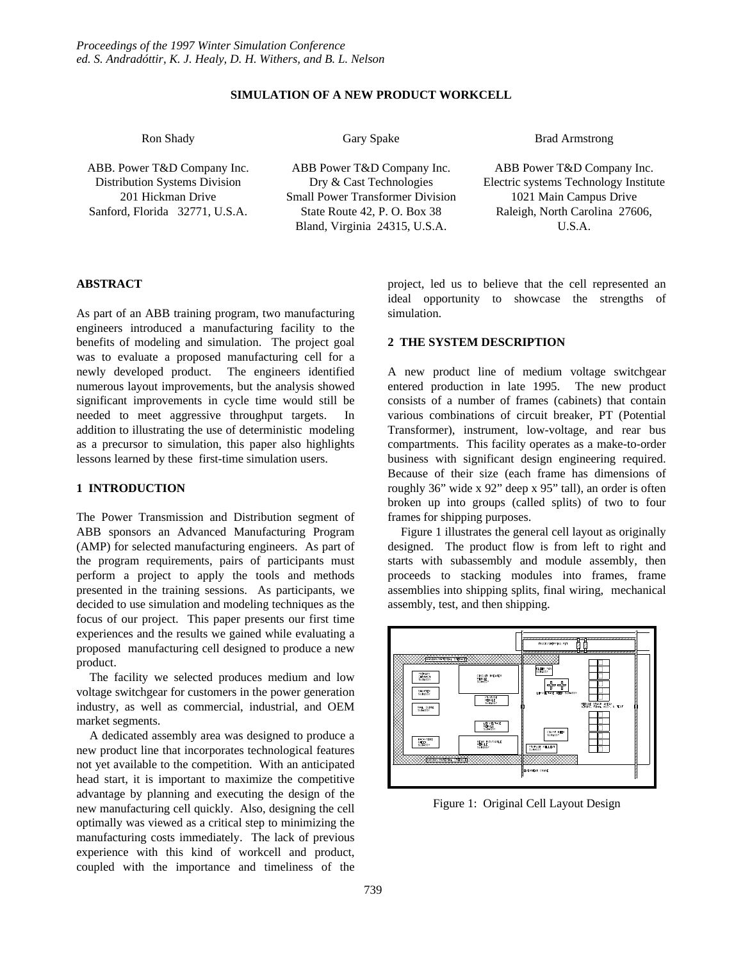# **SIMULATION OF A NEW PRODUCT WORKCELL**

Ron Shady

Gary Spake

Brad Armstrong

ABB. Power T&D Company Inc. Distribution Systems Division 201 Hickman Drive Sanford, Florida 32771, U.S.A.

ABB Power T&D Company Inc. Dry & Cast Technologies Small Power Transformer Division State Route 42, P. O. Box 38 Bland, Virginia 24315, U.S.A.

ABB Power T&D Company Inc. Electric systems Technology Institute 1021 Main Campus Drive Raleigh, North Carolina 27606, U.S.A.

#### **ABSTRACT**

As part of an ABB training program, two manufacturing engineers introduced a manufacturing facility to the benefits of modeling and simulation. The project goal was to evaluate a proposed manufacturing cell for a newly developed product. The engineers identified numerous layout improvements, but the analysis showed significant improvements in cycle time would still be needed to meet aggressive throughput targets. In addition to illustrating the use of deterministic modeling as a precursor to simulation, this paper also highlights lessons learned by these first-time simulation users.

# **1 INTRODUCTION**

The Power Transmission and Distribution segment of ABB sponsors an Advanced Manufacturing Program (AMP) for selected manufacturing engineers. As part of the program requirements, pairs of participants must perform a project to apply the tools and methods presented in the training sessions. As participants, we decided to use simulation and modeling techniques as the focus of our project. This paper presents our first time experiences and the results we gained while evaluating a proposed manufacturing cell designed to produce a new product.

The facility we selected produces medium and low voltage switchgear for customers in the power generation industry, as well as commercial, industrial, and OEM market segments.

A dedicated assembly area was designed to produce a new product line that incorporates technological features not yet available to the competition. With an anticipated head start, it is important to maximize the competitive advantage by planning and executing the design of the new manufacturing cell quickly. Also, designing the cell optimally was viewed as a critical step to minimizing the manufacturing costs immediately. The lack of previous experience with this kind of workcell and product, coupled with the importance and timeliness of the project, led us to believe that the cell represented an ideal opportunity to showcase the strengths of simulation.

#### **2 THE SYSTEM DESCRIPTION**

A new product line of medium voltage switchgear entered production in late 1995. The new product consists of a number of frames (cabinets) that contain various combinations of circuit breaker, PT (Potential Transformer), instrument, low-voltage, and rear bus compartments. This facility operates as a make-to-order business with significant design engineering required. Because of their size (each frame has dimensions of roughly 36" wide x 92" deep x 95" tall), an order is often broken up into groups (called splits) of two to four frames for shipping purposes.

Figure 1 illustrates the general cell layout as originally designed. The product flow is from left to right and starts with subassembly and module assembly, then proceeds to stacking modules into frames, frame assemblies into shipping splits, final wiring, mechanical assembly, test, and then shipping.



Figure 1: Original Cell Layout Design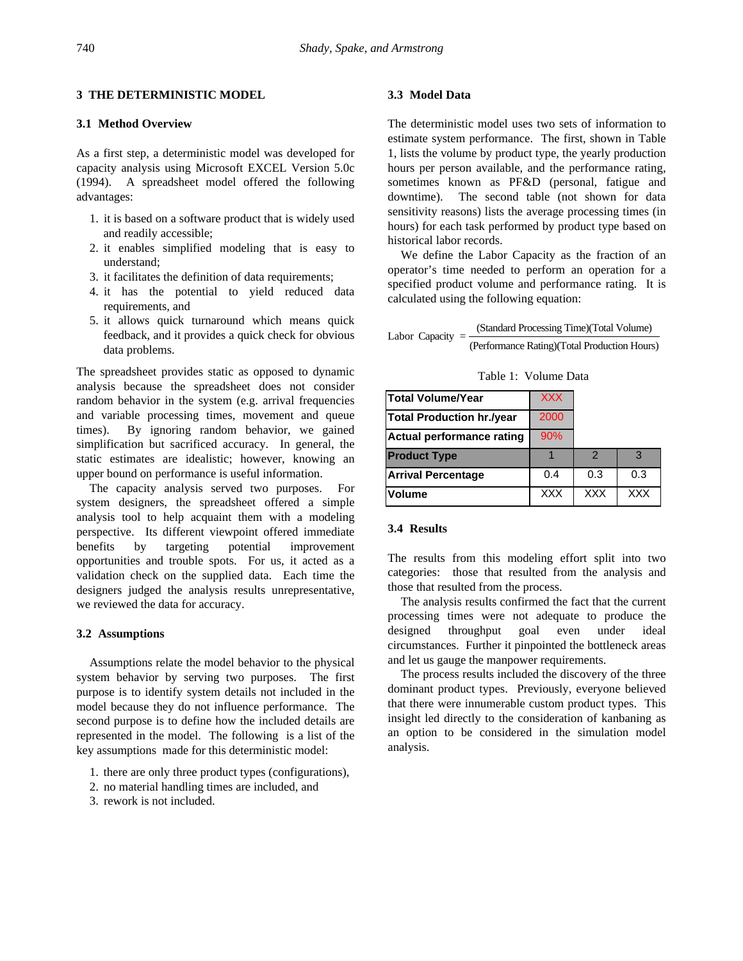## **3 THE DETERMINISTIC MODEL**

#### **3.1 Method Overview**

As a first step, a deterministic model was developed for capacity analysis using Microsoft EXCEL Version 5.0c (1994). A spreadsheet model offered the following advantages:

- 1. it is based on a software product that is widely used and readily accessible;
- 2. it enables simplified modeling that is easy to understand;
- 3. it facilitates the definition of data requirements;
- 4. it has the potential to yield reduced data requirements, and
- 5. it allows quick turnaround which means quick feedback, and it provides a quick check for obvious data problems.

The spreadsheet provides static as opposed to dynamic analysis because the spreadsheet does not consider random behavior in the system (e.g. arrival frequencies and variable processing times, movement and queue times). By ignoring random behavior, we gained simplification but sacrificed accuracy. In general, the static estimates are idealistic; however, knowing an upper bound on performance is useful information.

The capacity analysis served two purposes. For system designers, the spreadsheet offered a simple analysis tool to help acquaint them with a modeling perspective. Its different viewpoint offered immediate benefits by targeting potential improvement opportunities and trouble spots. For us, it acted as a validation check on the supplied data. Each time the designers judged the analysis results unrepresentative, we reviewed the data for accuracy.

## **3.2 Assumptions**

Assumptions relate the model behavior to the physical system behavior by serving two purposes. The first purpose is to identify system details not included in the model because they do not influence performance. The second purpose is to define how the included details are represented in the model. The following is a list of the key assumptions made for this deterministic model:

- 1. there are only three product types (configurations),
- 2. no material handling times are included, and
- 3. rework is not included.

## **3.3 Model Data**

The deterministic model uses two sets of information to estimate system performance. The first, shown in Table 1, lists the volume by product type, the yearly production hours per person available, and the performance rating, sometimes known as PF&D (personal, fatigue and downtime). The second table (not shown for data sensitivity reasons) lists the average processing times (in hours) for each task performed by product type based on historical labor records.

We define the Labor Capacity as the fraction of an operator's time needed to perform an operation for a specified product volume and performance rating. It is calculated using the following equation:

| Labor Capacity = - | (Standard Processing Time) (Total Volume)     |
|--------------------|-----------------------------------------------|
|                    | (Performance Rating) (Total Production Hours) |

Table 1: Volume Data

| Total Volume/Year         | <b>XXX</b> |               |            |
|---------------------------|------------|---------------|------------|
| Total Production hr./year | 2000       |               |            |
| Actual performance rating | 90%        |               |            |
| <b>Product Type</b>       |            | $\mathcal{P}$ | 3          |
| <b>Arrival Percentage</b> | 0.4        | 0.3           | 0.3        |
| Volume                    | <b>XXX</b> | <b>XXX</b>    | <b>XXX</b> |

## **3.4 Results**

The results from this modeling effort split into two categories: those that resulted from the analysis and those that resulted from the process.

The analysis results confirmed the fact that the current processing times were not adequate to produce the designed throughput goal even under ideal circumstances. Further it pinpointed the bottleneck areas and let us gauge the manpower requirements.

The process results included the discovery of the three dominant product types. Previously, everyone believed that there were innumerable custom product types. This insight led directly to the consideration of kanbaning as an option to be considered in the simulation model analysis.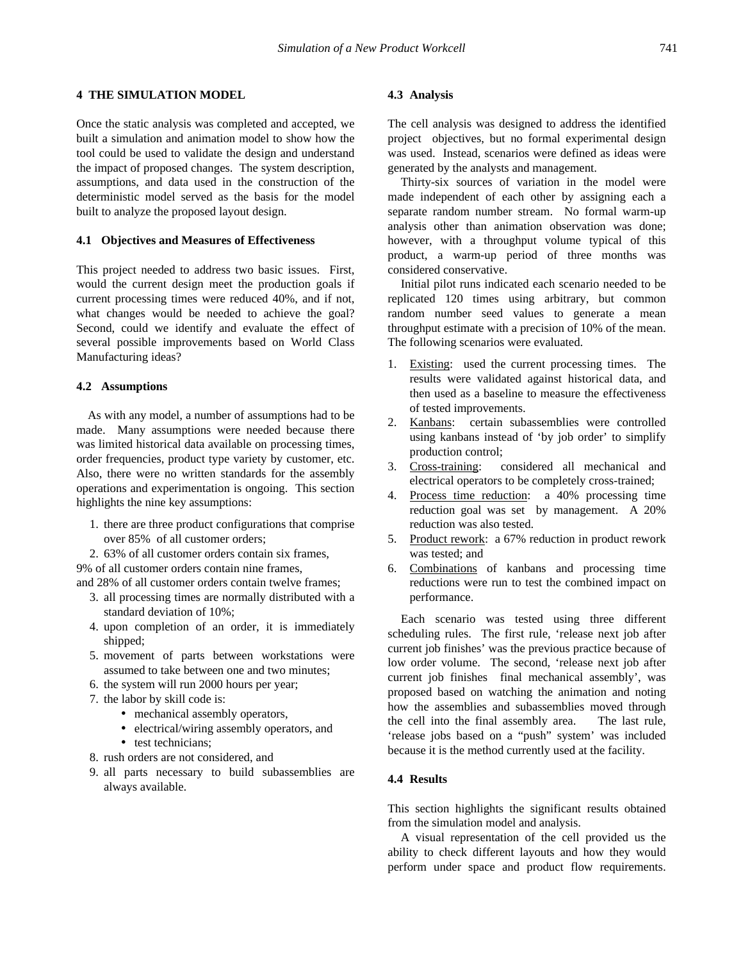#### **4 THE SIMULATION MODEL**

Once the static analysis was completed and accepted, we built a simulation and animation model to show how the tool could be used to validate the design and understand the impact of proposed changes. The system description, assumptions, and data used in the construction of the deterministic model served as the basis for the model built to analyze the proposed layout design.

## **4.1 Objectives and Measures of Effectiveness**

This project needed to address two basic issues. First, would the current design meet the production goals if current processing times were reduced 40%, and if not, what changes would be needed to achieve the goal? Second, could we identify and evaluate the effect of several possible improvements based on World Class Manufacturing ideas?

## **4.2 Assumptions**

As with any model, a number of assumptions had to be made. Many assumptions were needed because there was limited historical data available on processing times, order frequencies, product type variety by customer, etc. Also, there were no written standards for the assembly operations and experimentation is ongoing. This section highlights the nine key assumptions:

- 1. there are three product configurations that comprise over 85% of all customer orders;
- 2. 63% of all customer orders contain six frames,

9% of all customer orders contain nine frames, and 28% of all customer orders contain twelve frames;

- 3. all processing times are normally distributed with a standard deviation of 10%;
- 4. upon completion of an order, it is immediately shipped;
- 5. movement of parts between workstations were assumed to take between one and two minutes;
- 6. the system will run 2000 hours per year;
- 7. the labor by skill code is:
	- mechanical assembly operators,
		- electrical/wiring assembly operators, and
		- test technicians:
- 8. rush orders are not considered, and
- 9. all parts necessary to build subassemblies are always available.

## **4.3 Analysis**

The cell analysis was designed to address the identified project objectives, but no formal experimental design was used. Instead, scenarios were defined as ideas were generated by the analysts and management.

Thirty-six sources of variation in the model were made independent of each other by assigning each a separate random number stream. No formal warm-up analysis other than animation observation was done; however, with a throughput volume typical of this product, a warm-up period of three months was considered conservative.

Initial pilot runs indicated each scenario needed to be replicated 120 times using arbitrary, but common random number seed values to generate a mean throughput estimate with a precision of 10% of the mean. The following scenarios were evaluated.

- 1. Existing: used the current processing times. The results were validated against historical data, and then used as a baseline to measure the effectiveness of tested improvements.
- 2. Kanbans: certain subassemblies were controlled using kanbans instead of 'by job order' to simplify production control;
- 3. Cross-training: considered all mechanical and electrical operators to be completely cross-trained;
- 4. Process time reduction: a 40% processing time reduction goal was set by management. A 20% reduction was also tested.
- 5. Product rework: a 67% reduction in product rework was tested; and
- 6. Combinations of kanbans and processing time reductions were run to test the combined impact on performance.

Each scenario was tested using three different scheduling rules. The first rule, 'release next job after current job finishes' was the previous practice because of low order volume. The second, 'release next job after current job finishes final mechanical assembly', was proposed based on watching the animation and noting how the assemblies and subassemblies moved through the cell into the final assembly area. The last rule, 'release jobs based on a "push" system' was included because it is the method currently used at the facility.

## **4.4 Results**

This section highlights the significant results obtained from the simulation model and analysis.

A visual representation of the cell provided us the ability to check different layouts and how they would perform under space and product flow requirements.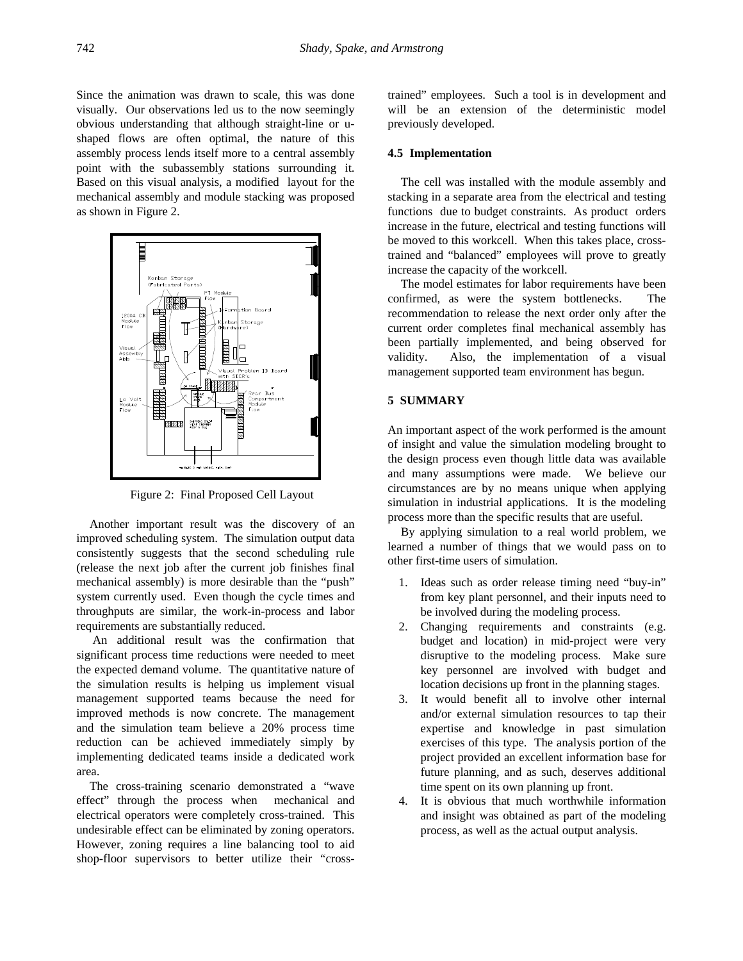Since the animation was drawn to scale, this was done visually. Our observations led us to the now seemingly obvious understanding that although straight-line or ushaped flows are often optimal, the nature of this assembly process lends itself more to a central assembly point with the subassembly stations surrounding it. Based on this visual analysis, a modified layout for the mechanical assembly and module stacking was proposed as shown in Figure 2.



Figure 2: Final Proposed Cell Layout

Another important result was the discovery of an improved scheduling system. The simulation output data consistently suggests that the second scheduling rule (release the next job after the current job finishes final mechanical assembly) is more desirable than the "push" system currently used. Even though the cycle times and throughputs are similar, the work-in-process and labor requirements are substantially reduced.

 An additional result was the confirmation that significant process time reductions were needed to meet the expected demand volume. The quantitative nature of the simulation results is helping us implement visual management supported teams because the need for improved methods is now concrete. The management and the simulation team believe a 20% process time reduction can be achieved immediately simply by implementing dedicated teams inside a dedicated work area.

The cross-training scenario demonstrated a "wave effect" through the process when mechanical and electrical operators were completely cross-trained. This undesirable effect can be eliminated by zoning operators. However, zoning requires a line balancing tool to aid shop-floor supervisors to better utilize their "crosstrained" employees. Such a tool is in development and will be an extension of the deterministic model previously developed.

## **4.5 Implementation**

The cell was installed with the module assembly and stacking in a separate area from the electrical and testing functions due to budget constraints. As product orders increase in the future, electrical and testing functions will be moved to this workcell. When this takes place, crosstrained and "balanced" employees will prove to greatly increase the capacity of the workcell.

The model estimates for labor requirements have been confirmed, as were the system bottlenecks. The recommendation to release the next order only after the current order completes final mechanical assembly has been partially implemented, and being observed for validity. Also, the implementation of a visual management supported team environment has begun.

## **5 SUMMARY**

An important aspect of the work performed is the amount of insight and value the simulation modeling brought to the design process even though little data was available and many assumptions were made. We believe our circumstances are by no means unique when applying simulation in industrial applications. It is the modeling process more than the specific results that are useful.

By applying simulation to a real world problem, we learned a number of things that we would pass on to other first-time users of simulation.

- 1. Ideas such as order release timing need "buy-in" from key plant personnel, and their inputs need to be involved during the modeling process.
- 2. Changing requirements and constraints (e.g. budget and location) in mid-project were very disruptive to the modeling process. Make sure key personnel are involved with budget and location decisions up front in the planning stages.
- 3. It would benefit all to involve other internal and/or external simulation resources to tap their expertise and knowledge in past simulation exercises of this type. The analysis portion of the project provided an excellent information base for future planning, and as such, deserves additional time spent on its own planning up front.
- 4. It is obvious that much worthwhile information and insight was obtained as part of the modeling process, as well as the actual output analysis.